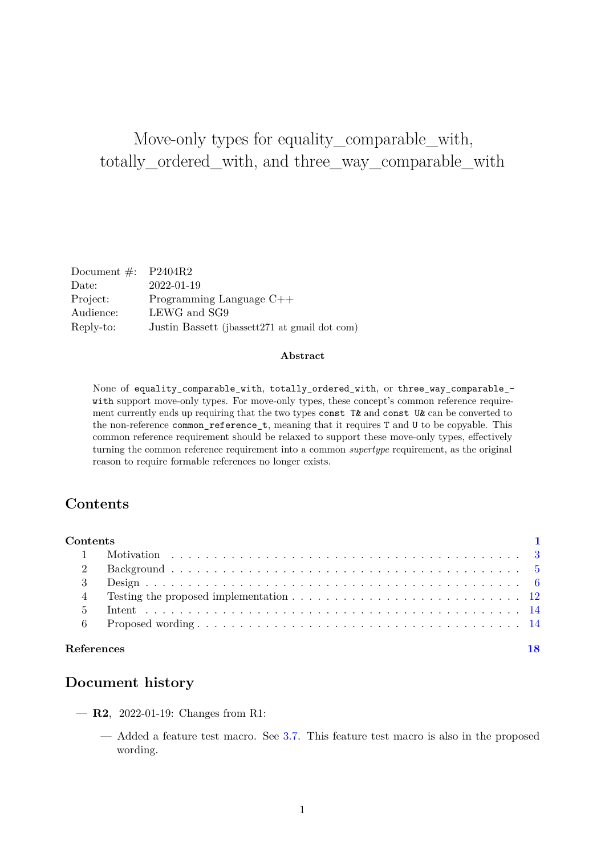# Move-only types for equality\_comparable\_with, totally\_ordered\_with, and three\_way\_comparable\_with

| Document $\#$ : P2404R2 |                                               |
|-------------------------|-----------------------------------------------|
| Date:                   | 2022-01-19                                    |
| Project:                | Programming Language $C++$                    |
| Audience:               | LEWG and SG9                                  |
| Reply-to:               | Justin Bassett (jbassett271 at gmail dot com) |
|                         |                                               |

#### **Abstract**

None of equality\_comparable\_with, totally\_ordered\_with, or three\_way\_comparable\_ with support move-only types. For move-only types, these concept's common reference requirement currently ends up requiring that the two types const T& and const U& can be converted to the non-reference common\_reference\_t, meaning that it requires T and U to be copyable. This common reference requirement should be relaxed to support these move-only types, effectively turning the common reference requirement into a common *supertype* requirement, as the original reason to require formable references no longer exists.

## <span id="page-0-0"></span>**Contents**

| Contents          |                                                                                                                |    |
|-------------------|----------------------------------------------------------------------------------------------------------------|----|
|                   |                                                                                                                |    |
| $\mathcal{D}$     |                                                                                                                |    |
|                   |                                                                                                                |    |
|                   | Testing the proposed implementation $\ldots \ldots \ldots \ldots \ldots \ldots \ldots \ldots \ldots \ldots 12$ |    |
| 5                 |                                                                                                                |    |
|                   |                                                                                                                |    |
| <b>References</b> |                                                                                                                | 18 |

## **Document history**

- **R2**, 2022-01-19: Changes from R1:
	- Added a feature test macro. See [3.7.](#page-11-1) This feature test macro is also in the proposed wording.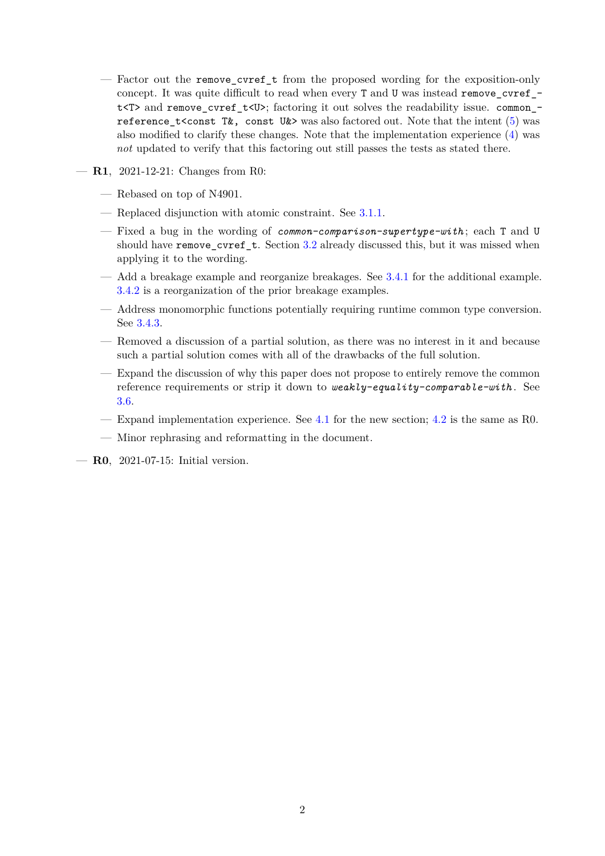- Factor out the remove\_cvref\_t from the proposed wording for the exposition-only concept. It was quite difficult to read when every T and U was instead remove\_cvref\_ t<T> and remove cvref t<U>; factoring it out solves the readability issue. common -reference t<const T&, const U&> was also factored out. Note that the intent [\(5\)](#page-13-0) was also modified to clarify these changes. Note that the implementation experience [\(4\)](#page-11-0) was *not* updated to verify that this factoring out still passes the tests as stated there.
- **R1**, 2021-12-21: Changes from R0:
	- Rebased on top of N4901.
	- Replaced disjunction with atomic constraint. See [3.1.1.](#page-5-1)
	- Fixed a bug in the wording of *common-comparison-supertype-with* ; each T and U should have remove\_cvref\_t. Section [3.2](#page-6-0) already discussed this, but it was missed when applying it to the wording.
	- Add a breakage example and reorganize breakages. See [3.4.1](#page-6-1) for the additional example. [3.4.2](#page-7-0) is a reorganization of the prior breakage examples.
	- Address monomorphic functions potentially requiring runtime common type conversion. See [3.4.3.](#page-9-0)
	- Removed a discussion of a partial solution, as there was no interest in it and because such a partial solution comes with all of the drawbacks of the full solution.
	- Expand the discussion of why this paper does not propose to entirely remove the common reference requirements or strip it down to *weakly-equality-comparable-with* . See [3.6.](#page-10-0)
	- Expand implementation experience. See [4.1](#page-11-2) for the new section; [4.2](#page-12-0) is the same as R0.
	- Minor rephrasing and reformatting in the document.
- **R0**, 2021-07-15: Initial version.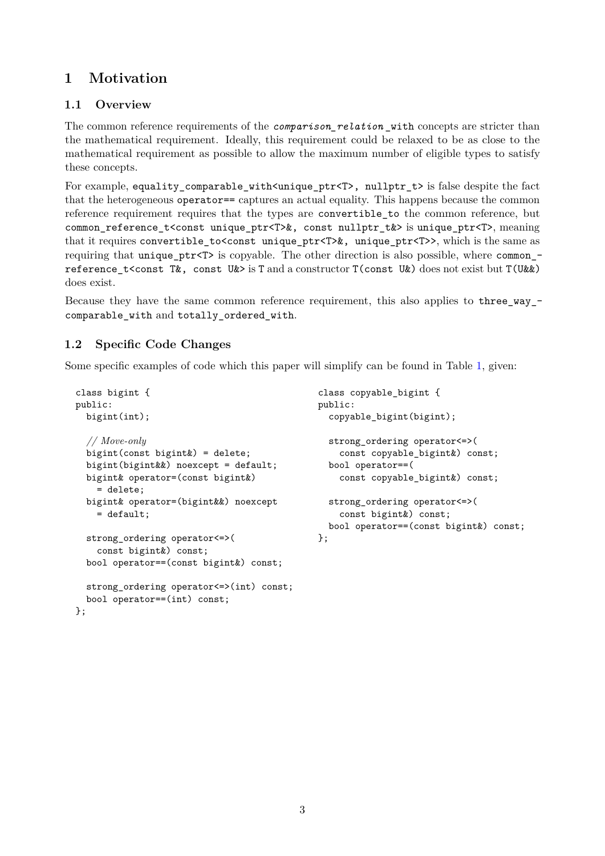# <span id="page-2-0"></span>**1 Motivation**

## **1.1 Overview**

The common reference requirements of the *comparison\_relation* \_with concepts are stricter than the mathematical requirement. Ideally, this requirement could be relaxed to be as close to the mathematical requirement as possible to allow the maximum number of eligible types to satisfy these concepts.

For example, equality\_comparable\_with<unique\_ptr<T>, nullptr\_t> is false despite the fact that the heterogeneous operator== captures an actual equality. This happens because the common reference requirement requires that the types are convertible\_to the common reference, but common\_reference\_t<const unique\_ptr<T>&, const nullptr\_t&> is unique\_ptr<T>, meaning that it requires convertible to  $\text{const}$  unique ptr $\text{Tr}\text{F}\times\text{Tr}\text{F}$ , which is the same as requiring that unique\_ptr<T> is copyable. The other direction is also possible, where common\_ reference t<const T&, const U&> is T and a constructor T(const U&) does not exist but T(U&&) does exist.

Because they have the same common reference requirement, this also applies to three\_way\_ comparable\_with and totally\_ordered\_with.

## **1.2 Specific Code Changes**

Some specific examples of code which this paper will simplify can be found in Table [1,](#page-3-0) given:

```
class bigint {
public:
  bigint(int);
 // Move-only
  bigint(const bigint&) = delete;
  bigint(bigint&&) noexcept = default;
  bigint& operator=(const bigint&)
    = delete;
  bigint& operator=(bigint&&) noexcept
    = default;
  strong_ordering operator<=>(
    const bigint&) const;
  bool operator==(const bigint&) const;
  strong_ordering operator<=>(int) const;
  bool operator==(int) const;
};
                                               class copyable_bigint {
                                               public:
                                                 copyable_bigint(bigint);
                                                strong_ordering operator<=>(
                                                   const copyable bigint&) const;
                                                bool operator==(
                                                   const copyable_bigint&) const;
                                                 strong ordering operator <= > (
                                                   const bigint&) const;
                                                bool operator==(const bigint&) const;
                                              };
```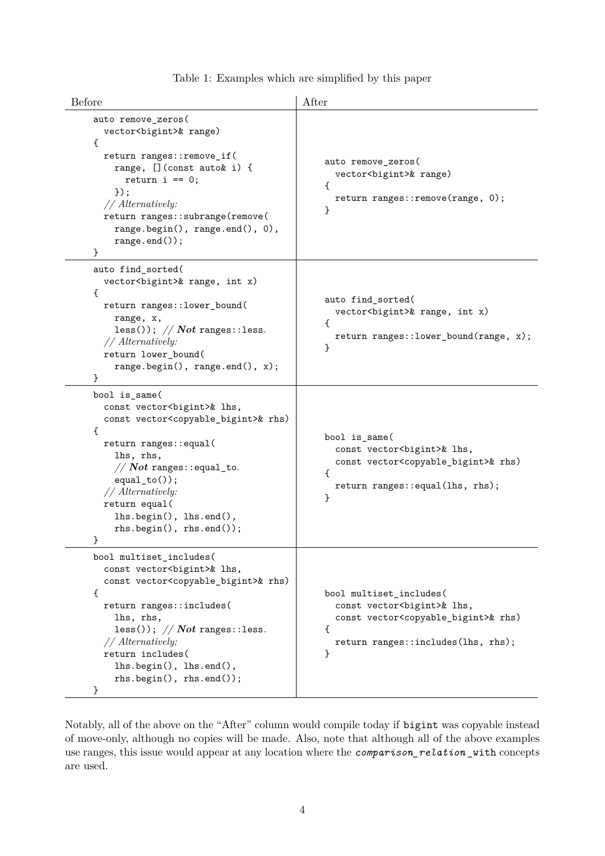|  | Table 1: Examples which are simplified by this paper |  |  |  |
|--|------------------------------------------------------|--|--|--|
|  |                                                      |  |  |  |

<span id="page-3-0"></span>

| Before                                                                                                                                                                                                                                                                                                                                                                                      | After                                                                                                                                                                                     |  |  |  |  |
|---------------------------------------------------------------------------------------------------------------------------------------------------------------------------------------------------------------------------------------------------------------------------------------------------------------------------------------------------------------------------------------------|-------------------------------------------------------------------------------------------------------------------------------------------------------------------------------------------|--|--|--|--|
| auto remove_zeros(<br>vector<br>bigint>& range)<br>ſ<br>return ranges::remove_if(<br>                                                                                                                                                                                                                                                                                                       | auto remove_zeros(<br>vector<br>bigint>& range)<br>₹<br>return ranges:: remove(range, 0);<br>                                                                                             |  |  |  |  |
| auto find_sorted(<br>vector<br>bigint>& range, int x)<br>€<br>return ranges:: lower_bound(<br>                                                                                                                                                                                                                                                                                              | auto find_sorted(<br>vector<br>bigint>& range, int x)<br>$\mathcal{L}_{\mathcal{L}}$<br>return ranges::lower_bound(range, x);<br>                                                         |  |  |  |  |
| bool is_same(<br>const vector<br>bigint>& lhs,<br>const vector <copyable_bigint>&amp; rhs)<br/>€<br>return ranges: : equal(<br/>lhs, rhs,<br/><math>// Not ranges::equal_to.</math><br/><math>equal_to()</math>;<br/>// Alternatively:<br/>return equal(<br/>lhs.begin(), lhs.end(),<br/><math>rhs.\begin{equation} (), \text{rhs}.\end{equation}</math><br/>}</br></copyable_bigint>       | bool is_same(<br>const vector<br>bigint>& lhs,<br>const vector <copyable_bigint>&amp; rhs)<br/><math>\mathcal{L}</math><br>return ranges: : equal(lhs, rhs);<br/>}</br></copyable_bigint> |  |  |  |  |
| bool multiset_includes(<br>const vector<br>bigint>& lhs,<br>const vector <copyable_bigint>&amp; rhs)<br/>€<br>return ranges::includes(<br/>lhs, rhs,<br/>less()); <math>// Not ranges::less.</math><br/>// Alternatively:<br/>return includes(<br/>lhs.begin(), lhs.end(),<br/><math>rhs.\begin{equation*} begin(),\ \text{rhs}.end(),\ \end{equation*}</math><br/>}</br></copyable_bigint> | bool multiset_includes(<br>const vector<br>bigint>& lhs,<br>const vector <copyable_bigint>&amp; rhs)<br/>€<br>return ranges::includes(lhs, rhs);<br/>}</br></copyable_bigint>             |  |  |  |  |

Notably, all of the above on the "After" column would compile today if bigint was copyable instead of move-only, although no copies will be made. Also, note that although all of the above examples use ranges, this issue would appear at any location where the *comparison\_relation* \_with concepts are used.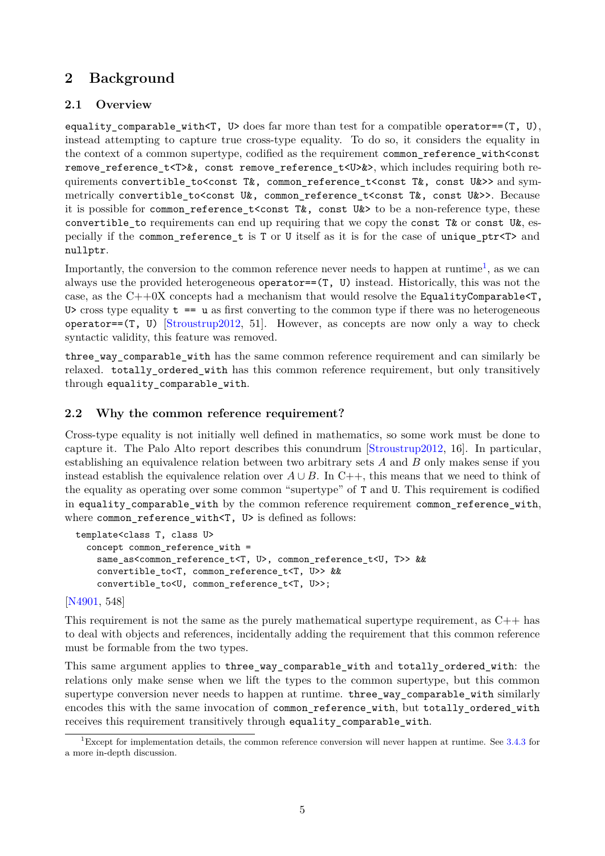# <span id="page-4-0"></span>**2 Background**

## **2.1 Overview**

equality\_comparable\_with<T,  $U$ > does far more than test for a compatible operator==(T, U), instead attempting to capture true cross-type equality. To do so, it considers the equality in the context of a common supertype, codified as the requirement common\_reference\_with<const remove reference t<T>&, const remove reference t<U>&>, which includes requiring both requirements convertible\_to<const T&, common\_reference\_t<const T&, const U&>> and symmetrically convertible\_to<const U&, common\_reference\_t<const T&, const U&>>. Because it is possible for common\_reference\_t<const T&, const U&> to be a non-reference type, these convertible to requirements can end up requiring that we copy the const T& or const U&, especially if the common\_reference\_t is T or U itself as it is for the case of unique\_ptr<T> and nullptr.

Importantly, the conversion to the common reference never needs to happen at runtime<sup>[1](#page-4-1)</sup>, as we can always use the provided heterogeneous operator== $(T, U)$  instead. Historically, this was not the case, as the  $C++0X$  concepts had a mechanism that would resolve the EqualityComparable $\leq T$ , U> cross type equality  $t = u$  as first converting to the common type if there was no heterogeneous operator== $(T, U)$  [\[Stroustrup2012,](#page-17-1) 51]. However, as concepts are now only a way to check syntactic validity, this feature was removed.

three way comparable with has the same common reference requirement and can similarly be relaxed. totally\_ordered\_with has this common reference requirement, but only transitively through equality\_comparable\_with.

## <span id="page-4-2"></span>**2.2 Why the common reference requirement?**

Cross-type equality is not initially well defined in mathematics, so some work must be done to capture it. The Palo Alto report describes this conundrum [\[Stroustrup2012,](#page-17-1) 16]. In particular, establishing an equivalence relation between two arbitrary sets *A* and *B* only makes sense if you instead establish the equivalence relation over  $A \cup B$ . In C++, this means that we need to think of the equality as operating over some common "supertype" of T and U. This requirement is codified in equality\_comparable\_with by the common reference requirement common\_reference\_with, where common reference with<T, U> is defined as follows:

```
template<class T, class U>
  concept common_reference_with =
    same_as<common_reference_t<T, U>, common_reference_t<U, T>> &&
    convertible_to<T, common_reference_t<T, U>> &&
    convertible_to<U, common_reference_t<T, U>>;
```
[\[N4901,](#page-17-2) 548]

This requirement is not the same as the purely mathematical supertype requirement, as  $C_{++}$  has to deal with objects and references, incidentally adding the requirement that this common reference must be formable from the two types.

This same argument applies to three\_way\_comparable\_with and totally\_ordered\_with: the relations only make sense when we lift the types to the common supertype, but this common supertype conversion never needs to happen at runtime. three\_way\_comparable\_with similarly encodes this with the same invocation of common\_reference\_with, but totally\_ordered\_with receives this requirement transitively through equality\_comparable\_with.

<span id="page-4-1"></span><sup>&</sup>lt;sup>1</sup>Except for implementation details, the common reference conversion will never happen at runtime. See  $3.4.3$  for a more in-depth discussion.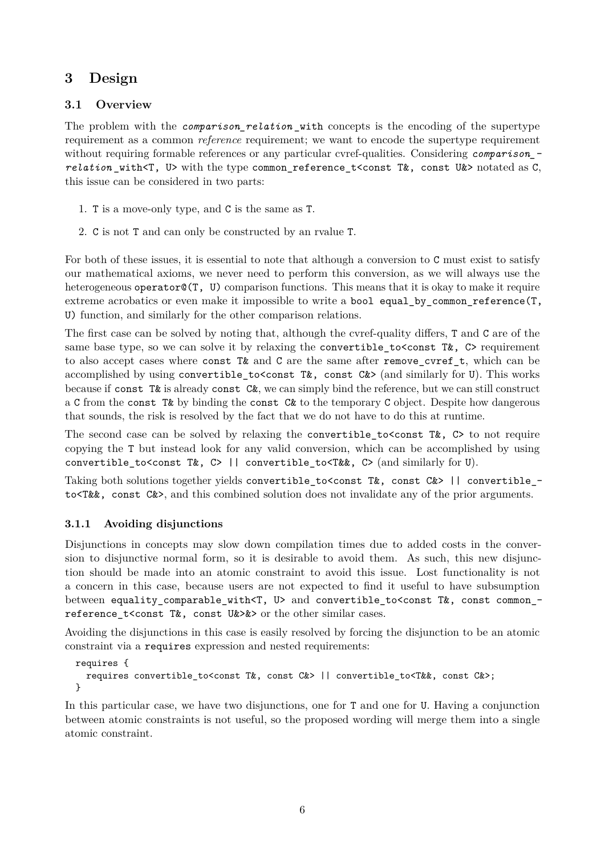# <span id="page-5-0"></span>**3 Design**

### <span id="page-5-2"></span>**3.1 Overview**

The problem with the *comparison\_relation\_with* concepts is the encoding of the supertype requirement as a common *reference* requirement; we want to encode the supertype requirement without requiring formable references or any particular cvref-qualities. Considering *comparison* – *relation* with $\zeta$ . U> with the type common reference  $t$ <const T&, const U&> notated as C, this issue can be considered in two parts:

- 1. T is a move-only type, and C is the same as T.
- 2. C is not T and can only be constructed by an rvalue T.

For both of these issues, it is essential to note that although a conversion to C must exist to satisfy our mathematical axioms, we never need to perform this conversion, as we will always use the heterogeneous operator (T, U) comparison functions. This means that it is okay to make it require extreme acrobatics or even make it impossible to write a bool equal\_by\_common\_reference(T, U) function, and similarly for the other comparison relations.

The first case can be solved by noting that, although the cvref-quality differs, T and C are of the same base type, so we can solve it by relaxing the convertible to  $\zeta$  const T $\&$ , C> requirement to also accept cases where const T& and C are the same after remove cvref t, which can be accomplished by using convertible to<const T&, const C&> (and similarly for U). This works because if const T& is already const C&, we can simply bind the reference, but we can still construct a C from the const T& by binding the const C& to the temporary C object. Despite how dangerous that sounds, the risk is resolved by the fact that we do not have to do this at runtime.

The second case can be solved by relaxing the convertible to  $\zeta$  const T&, C to not require copying the T but instead look for any valid conversion, which can be accomplished by using convertible to<const T&, C> || convertible to<T&&, C> (and similarly for U).

Taking both solutions together yields convertible to<const T&, const C&> || convertible to<T&&, const C&>, and this combined solution does not invalidate any of the prior arguments.

#### <span id="page-5-1"></span>**3.1.1 Avoiding disjunctions**

Disjunctions in concepts may slow down compilation times due to added costs in the conversion to disjunctive normal form, so it is desirable to avoid them. As such, this new disjunction should be made into an atomic constraint to avoid this issue. Lost functionality is not a concern in this case, because users are not expected to find it useful to have subsumption between equality\_comparable\_with<T, U> and convertible\_to<const T&, const common\_ reference\_t<const T&, const U&>&> or the other similar cases.

Avoiding the disjunctions in this case is easily resolved by forcing the disjunction to be an atomic constraint via a requires expression and nested requirements:

```
requires {
  requires convertible to<const T&, const C&> || convertible to<T&&, const C&>;
}
```
In this particular case, we have two disjunctions, one for T and one for U. Having a conjunction between atomic constraints is not useful, so the proposed wording will merge them into a single atomic constraint.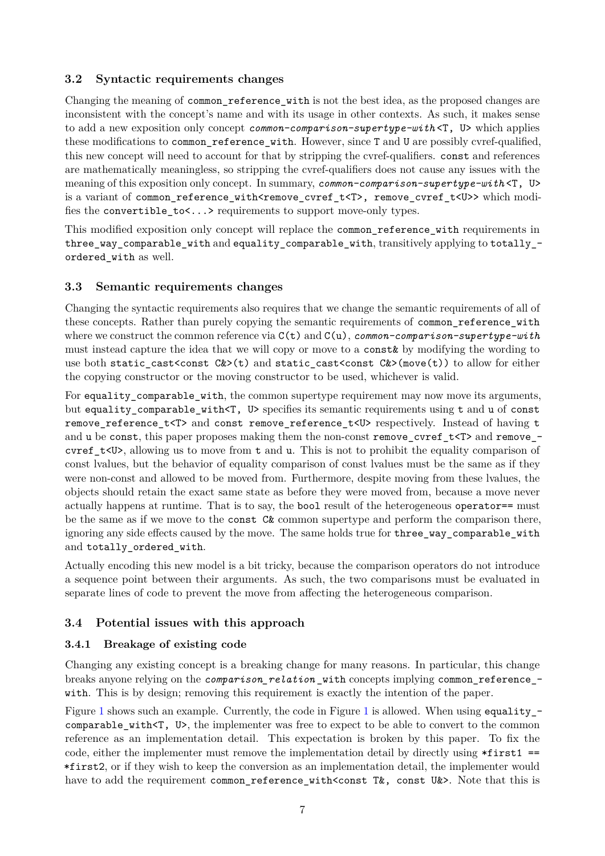### <span id="page-6-0"></span>**3.2 Syntactic requirements changes**

Changing the meaning of common\_reference\_with is not the best idea, as the proposed changes are inconsistent with the concept's name and with its usage in other contexts. As such, it makes sense to add a new exposition only concept *common-comparison-supertype-with* <T, U> which applies these modifications to common reference with. However, since T and U are possibly cvref-qualified, this new concept will need to account for that by stripping the cvref-qualifiers. const and references are mathematically meaningless, so stripping the cvref-qualifiers does not cause any issues with the meaning of this exposition only concept. In summary, *common-comparison-supertype-with* <T, U> is a variant of common\_reference\_with<remove\_cvref\_t<T>, remove\_cvref\_t<U>>which modifies the convertible\_to<...> requirements to support move-only types.

This modified exposition only concept will replace the common reference with requirements in three\_way\_comparable\_with and equality\_comparable\_with, transitively applying to totally\_ ordered\_with as well.

### **3.3 Semantic requirements changes**

Changing the syntactic requirements also requires that we change the semantic requirements of all of these concepts. Rather than purely copying the semantic requirements of common reference with where we construct the common reference via C(t) and C(u), *common-comparison-supertype-with* must instead capture the idea that we will copy or move to a const& by modifying the wording to use both static\_cast<const  $C>$ (t) and static\_cast<const  $C>$ (move(t)) to allow for either the copying constructor or the moving constructor to be used, whichever is valid.

For equality comparable with, the common supertype requirement may now move its arguments, but equality\_comparable\_with<T, U> specifies its semantic requirements using t and u of const remove\_reference\_t<T> and const remove\_reference\_t<U> respectively. Instead of having t and u be const, this paper proposes making them the non-const remove\_cvref\_t<T> and remove\_cvref  $t$ <U>, allowing us to move from t and u. This is not to prohibit the equality comparison of const lvalues, but the behavior of equality comparison of const lvalues must be the same as if they were non-const and allowed to be moved from. Furthermore, despite moving from these lvalues, the objects should retain the exact same state as before they were moved from, because a move never actually happens at runtime. That is to say, the bool result of the heterogeneous operator== must be the same as if we move to the const C& common supertype and perform the comparison there, ignoring any side effects caused by the move. The same holds true for three\_way\_comparable\_with and totally ordered with.

Actually encoding this new model is a bit tricky, because the comparison operators do not introduce a sequence point between their arguments. As such, the two comparisons must be evaluated in separate lines of code to prevent the move from affecting the heterogeneous comparison.

## **3.4 Potential issues with this approach**

#### <span id="page-6-1"></span>**3.4.1 Breakage of existing code**

Changing any existing concept is a breaking change for many reasons. In particular, this change breaks anyone relying on the *comparison\_relation* \_with concepts implying common\_reference\_ with. This is by design; removing this requirement is exactly the intention of the paper.

Figure [1](#page-7-1) shows such an example. Currently, the code in Figure 1 is allowed. When using equality  $$ comparable\_with<T, U>, the implementer was free to expect to be able to convert to the common reference as an implementation detail. This expectation is broken by this paper. To fix the code, either the implementer must remove the implementation detail by directly using  $*first1$  == \*first2, or if they wish to keep the conversion as an implementation detail, the implementer would have to add the requirement common reference with<const T&, const U&>. Note that this is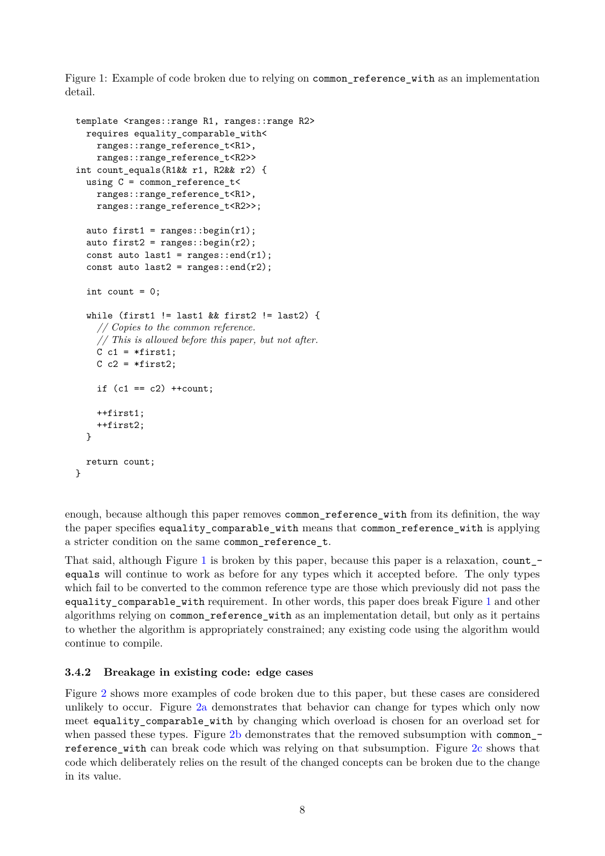<span id="page-7-1"></span>Figure 1: Example of code broken due to relying on common\_reference\_with as an implementation detail.

```
template <ranges::range R1, ranges::range R2>
  requires equality_comparable_with<
    ranges::range_reference_t<R1>,
    ranges::range_reference_t<R2>>
int count_equals(R1&& r1, R2&& r2) {
  using C = common_reference_t<
    ranges::range_reference_t<R1>,
    ranges::range_reference_t<R2>>;
  auto first1 = ranges::begin(r1);
  auto first2 = \text{ranges}::\text{begin}(r2);const auto last1 = range: end(r1);const auto last2 = range: end(r2);
  int count = 0:
  while (first1 != last1 && first2 != last2) {
    // Copies to the common reference.
    // This is allowed before this paper, but not after.
    C c1 = *first1;
    C c2 = *first2;
    if (c1 == c2) ++count;
    ++first1;
    ++first2;
  }
 return count;
}
```
enough, because although this paper removes common\_reference\_with from its definition, the way the paper specifies equality\_comparable\_with means that common\_reference\_with is applying a stricter condition on the same common\_reference\_t.

That said, although Figure [1](#page-7-1) is broken by this paper, because this paper is a relaxation, count\_equals will continue to work as before for any types which it accepted before. The only types which fail to be converted to the common reference type are those which previously did not pass the equality\_comparable\_with requirement. In other words, this paper does break Figure [1](#page-7-1) and other algorithms relying on common\_reference\_with as an implementation detail, but only as it pertains to whether the algorithm is appropriately constrained; any existing code using the algorithm would continue to compile.

#### <span id="page-7-0"></span>**3.4.2 Breakage in existing code: edge cases**

Figure [2](#page-8-0) shows more examples of code broken due to this paper, but these cases are considered unlikely to occur. Figure [2a](#page-8-1) demonstrates that behavior can change for types which only now meet equality comparable with by changing which overload is chosen for an overload set for when passed these types. Figure [2b](#page-8-2) demonstrates that the removed subsumption with common\_reference\_with can break code which was relying on that subsumption. Figure [2c](#page-8-3) shows that code which deliberately relies on the result of the changed concepts can be broken due to the change in its value.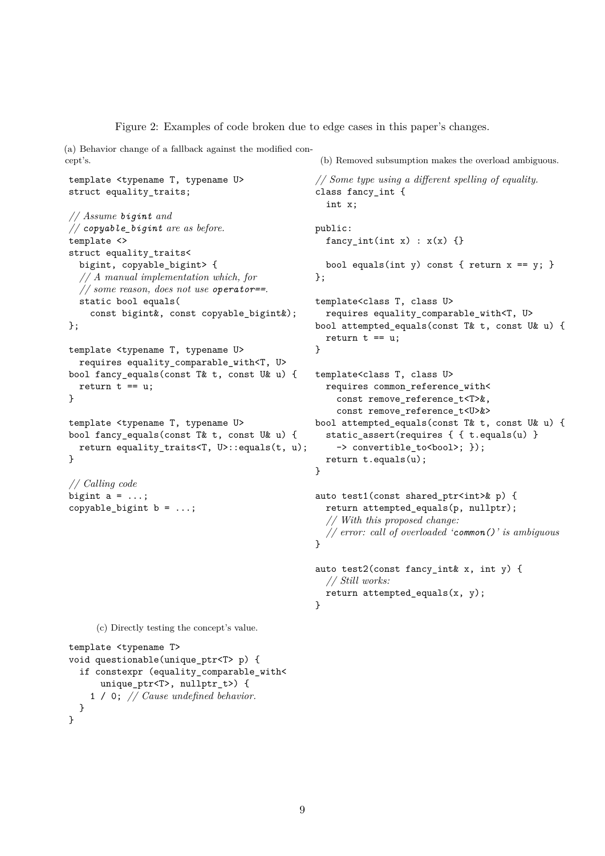Figure 2: Examples of code broken due to edge cases in this paper's changes.

<span id="page-8-1"></span><span id="page-8-0"></span>(a) Behavior change of a fallback against the modified concept's.

```
template <typename T, typename U>
struct equality_traits;
```

```
// Assume bigint and
// copyable_bigint are as before.
template <>
struct equality_traits<
  bigint, copyable_bigint> {
  // A manual implementation which, for
  // some reason, does not use operator==.
  static bool equals(
    const bigint&, const copyable_bigint&);
};
```

```
template <typename T, typename U>
  requires equality_comparable_with<T, U>
bool fancy_equals(const T& t, const U& u) {
 return t == u;
}
```

```
template <typename T, typename U>
bool fancy_equals(const T& t, const U& u) {
 return equality_traits<T, U>::equals(t, u);
}
```
*// Calling code* bigint  $a = ...;$ copyable\_bigint  $b = ...;$  template<class T, class U> requires equality\_comparable\_with<T, U> bool attempted equals(const T& t, const U& u) { return  $t == u$ ; } template<class T, class U> requires common\_reference\_with< const remove\_reference\_t<T>&, const remove reference t<U>&> bool attempted\_equals(const T& t, const U& u) { static\_assert(requires { { t.equals(u) } -> convertible\_to<bool>; }); return t.equals(u); } auto test1(const shared ptr<int>& p) { return attempted\_equals(p, nullptr); *// With this proposed change: // error: call of overloaded 'common()' is ambiguous*  $\mathbf{r}$ auto test2(const fancy\_int& x, int y) {

<span id="page-8-2"></span>(b) Removed subsumption makes the overload ambiguous.

bool equals(int y) const { return  $x == y$ ; }

*// Some type using a different spelling of equality.*

class fancy\_int {

*// Still works:*

}

return attempted\_equals(x, y);

 $fancy(int(int x) : x(x) \{\}$ 

int x;

public:

};

```
(c) Directly testing the concept's value.
```

```
template <typename T>
void questionable(unique_ptr<T> p) {
  if constexpr (equality_comparable_with<
      unique_ptr<T>, nullptr_t>) {
    1 / 0; // Cause undefined behavior.
 }
}
```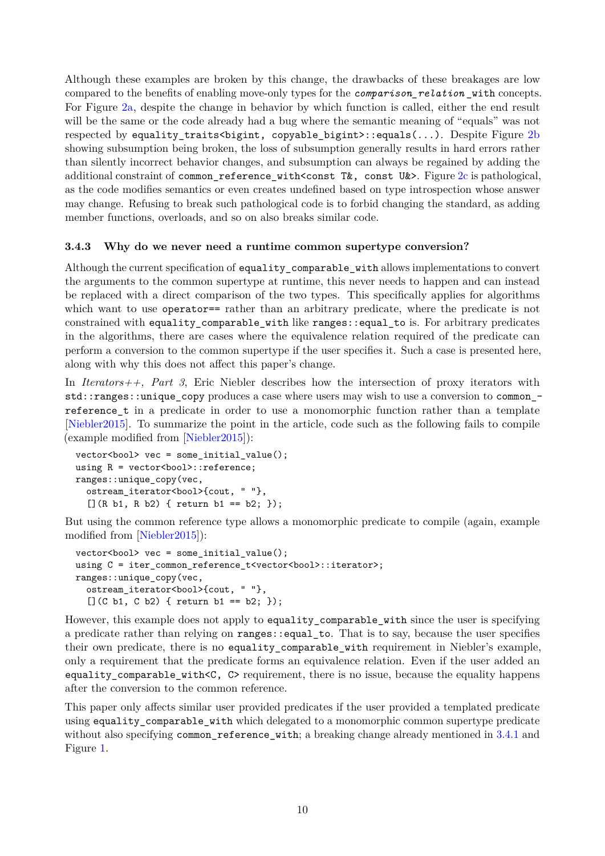Although these examples are broken by this change, the drawbacks of these breakages are low compared to the benefits of enabling move-only types for the *comparison\_relation* \_with concepts. For Figure [2a,](#page-8-1) despite the change in behavior by which function is called, either the end result will be the same or the code already had a bug where the semantic meaning of "equals" was not respected by equality\_traits<br/>bigint, copyable\_bigint>::equals(...). Despite Figure [2b](#page-8-2) showing subsumption being broken, the loss of subsumption generally results in hard errors rather than silently incorrect behavior changes, and subsumption can always be regained by adding the additional constraint of common reference with<const T&, const U&>. Figure [2c](#page-8-3) is pathological, as the code modifies semantics or even creates undefined based on type introspection whose answer may change. Refusing to break such pathological code is to forbid changing the standard, as adding member functions, overloads, and so on also breaks similar code.

#### <span id="page-9-0"></span>**3.4.3 Why do we never need a runtime common supertype conversion?**

Although the current specification of equality\_comparable\_with allows implementations to convert the arguments to the common supertype at runtime, this never needs to happen and can instead be replaced with a direct comparison of the two types. This specifically applies for algorithms which want to use operator== rather than an arbitrary predicate, where the predicate is not constrained with equality\_comparable\_with like ranges::equal\_to is. For arbitrary predicates in the algorithms, there are cases where the equivalence relation required of the predicate can perform a conversion to the common supertype if the user specifies it. Such a case is presented here, along with why this does not affect this paper's change.

In *Iterators++, Part 3*, Eric Niebler describes how the intersection of proxy iterators with std::ranges::unique\_copy produces a case where users may wish to use a conversion to common reference t in a predicate in order to use a monomorphic function rather than a template [\[Niebler2015\]](#page-17-3). To summarize the point in the article, code such as the following fails to compile (example modified from [\[Niebler2015\]](#page-17-3)):

```
vector<bool> vec = some_initial_value();
using R = vector<br/>bool>::reference;
ranges::unique_copy(vec,
  ostream_iterator<bool>{cout, " "},
  [](R b1, R b2) { return b1 == b2; });
```
But using the common reference type allows a monomorphic predicate to compile (again, example modified from [\[Niebler2015\]](#page-17-3)):

```
vector <i>bool</i> > vec = some initial value();
using C = iter_{common_{reference} t < vector < bool}:iterator>;
ranges::unique_copy(vec,
  ostream_iterator<bool>{cout, " "},
  [] (C b1, C b2) { return b1 == b2; }
```
However, this example does not apply to equality\_comparable\_with since the user is specifying a predicate rather than relying on ranges::equal\_to. That is to say, because the user specifies their own predicate, there is no equality\_comparable\_with requirement in Niebler's example, only a requirement that the predicate forms an equivalence relation. Even if the user added an equality\_comparable\_with<C, C> requirement, there is no issue, because the equality happens after the conversion to the common reference.

This paper only affects similar user provided predicates if the user provided a templated predicate using equality comparable with which delegated to a monomorphic common supertype predicate without also specifying common\_reference\_with; a breaking change already mentioned in [3.4.1](#page-6-1) and Figure [1.](#page-7-1)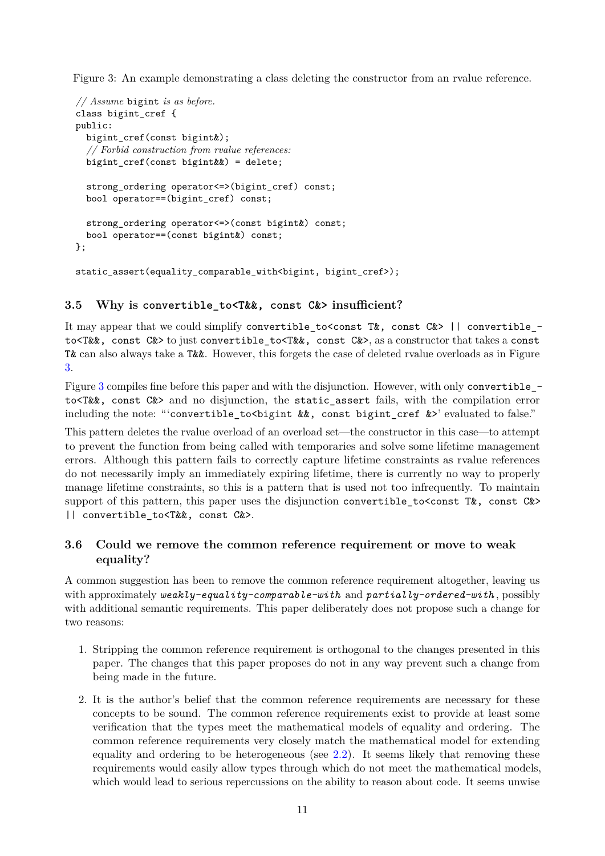<span id="page-10-1"></span>Figure 3: An example demonstrating a class deleting the constructor from an rvalue reference.

```
// Assume bigint is as before.
class bigint_cref {
public:
  bigint_cref(const bigint&);
  // Forbid construction from rvalue references:
  bigint \text{cref}(\text{const} bigint&&) = delete;
  strong_ordering operator<=>(bigint_cref) const;
  bool operator==(bigint_cref) const;
  strong_ordering operator<=>(const bigint&) const;
  bool operator==(const bigint&) const;
};
static assert(equality comparable with<br/>Sbigint, bigint cref>);
```
#### **3.5 Why is convertible\_to<T&&, const C&> insufficient?**

It may appear that we could simplify convertible\_to<const T&, const C&> || convertible\_ to<T&&, const C&> to just convertible to<T&&, const C&>, as a constructor that takes a const T& can also always take a T&&. However, this forgets the case of deleted rvalue overloads as in Figure [3.](#page-10-1)

Figure [3](#page-10-1) compiles fine before this paper and with the disjunction. However, with only convertible to<T&&, const C&> and no disjunction, the static\_assert fails, with the compilation error including the note: "'convertible\_to<br/>bigint &&, const bigint\_cref &>' evaluated to false."

This pattern deletes the rvalue overload of an overload set—the constructor in this case—to attempt to prevent the function from being called with temporaries and solve some lifetime management errors. Although this pattern fails to correctly capture lifetime constraints as rvalue references do not necessarily imply an immediately expiring lifetime, there is currently no way to properly manage lifetime constraints, so this is a pattern that is used not too infrequently. To maintain support of this pattern, this paper uses the disjunction convertible to  $\zeta$  const T&, const C&> || convertible\_to<T&&, const C&>.

#### <span id="page-10-0"></span>**3.6 Could we remove the common reference requirement or move to weak equality?**

A common suggestion has been to remove the common reference requirement altogether, leaving us with approximately *weakly-equality-comparable-with* and *partially-ordered-with* , possibly with additional semantic requirements. This paper deliberately does not propose such a change for two reasons:

- 1. Stripping the common reference requirement is orthogonal to the changes presented in this paper. The changes that this paper proposes do not in any way prevent such a change from being made in the future.
- 2. It is the author's belief that the common reference requirements are necessary for these concepts to be sound. The common reference requirements exist to provide at least some verification that the types meet the mathematical models of equality and ordering. The common reference requirements very closely match the mathematical model for extending equality and ordering to be heterogeneous (see  $2.2$ ). It seems likely that removing these requirements would easily allow types through which do not meet the mathematical models, which would lead to serious repercussions on the ability to reason about code. It seems unwise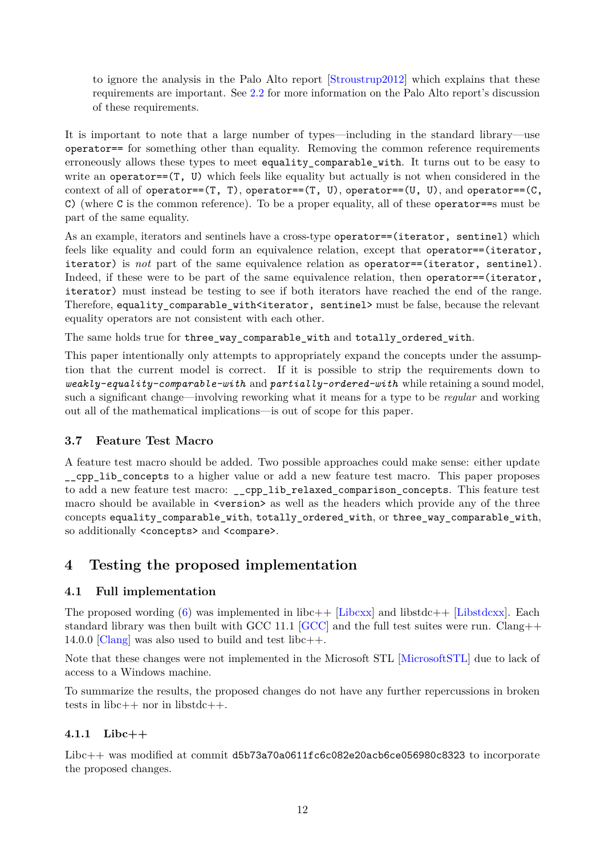to ignore the analysis in the Palo Alto report [\[Stroustrup2012\]](#page-17-1) which explains that these requirements are important. See [2.2](#page-4-2) for more information on the Palo Alto report's discussion of these requirements.

It is important to note that a large number of types—including in the standard library—use operator== for something other than equality. Removing the common reference requirements erroneously allows these types to meet equality comparable with. It turns out to be easy to write an operator== $(T, U)$  which feels like equality but actually is not when considered in the context of all of operator== $(T, T)$ , operator== $(T, U)$ , operator== $(U, U)$ , and operator== $(C,$ C) (where C is the common reference). To be a proper equality, all of these operator==s must be part of the same equality.

As an example, iterators and sentinels have a cross-type operator==(iterator, sentinel) which feels like equality and could form an equivalence relation, except that operator==(iterator, iterator) is *not* part of the same equivalence relation as operator==(iterator, sentinel). Indeed, if these were to be part of the same equivalence relation, then operator==(iterator, iterator) must instead be testing to see if both iterators have reached the end of the range. Therefore, equality\_comparable\_with<iterator, sentinel> must be false, because the relevant equality operators are not consistent with each other.

The same holds true for three\_way\_comparable\_with and totally\_ordered\_with.

This paper intentionally only attempts to appropriately expand the concepts under the assumption that the current model is correct. If it is possible to strip the requirements down to *weakly-equality-comparable-with* and *partially-ordered-with* while retaining a sound model, such a significant change—involving reworking what it means for a type to be *regular* and working out all of the mathematical implications—is out of scope for this paper.

#### <span id="page-11-1"></span>**3.7 Feature Test Macro**

A feature test macro should be added. Two possible approaches could make sense: either update \_\_cpp\_lib\_concepts to a higher value or add a new feature test macro. This paper proposes to add a new feature test macro: \_\_cpp\_lib\_relaxed\_comparison\_concepts. This feature test macro should be available in  $\leq$  version as well as the headers which provide any of the three concepts equality comparable with, totally ordered with, or three way comparable with, so additionally <concepts> and <compare>.

## <span id="page-11-0"></span>**4 Testing the proposed implementation**

#### <span id="page-11-2"></span>**4.1 Full implementation**

The proposed wording  $(6)$  was implemented in libc++ [\[Libcxx\]](#page-17-4) and libstdc++ [\[Libstdcxx\]](#page-17-5). Each standard library was then built with GCC 11.1 [\[GCC\]](#page-17-6) and the full test suites were run. Clang++ 14.0.0 [\[Clang\]](#page-17-7) was also used to build and test libc $++$ .

Note that these changes were not implemented in the Microsoft STL [\[MicrosoftSTL\]](#page-17-8) due to lack of access to a Windows machine.

To summarize the results, the proposed changes do not have any further repercussions in broken tests in libc $++$  nor in libstdc $++$ .

#### **4.1.1 Libc++**

Libc++ was modified at commit d5b73a70a0611fc6c082e20acb6ce056980c8323 to incorporate the proposed changes.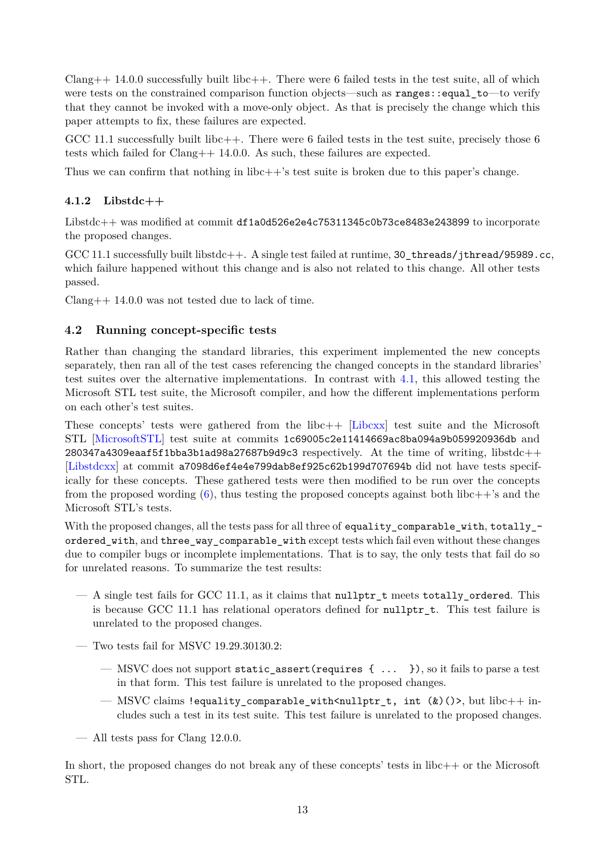$Clang++ 14.0.0$  successfully built libc++. There were 6 failed tests in the test suite, all of which were tests on the constrained comparison function objects—such as ranges::equal\_to—to verify that they cannot be invoked with a move-only object. As that is precisely the change which this paper attempts to fix, these failures are expected.

GCC 11.1 successfully built libc $++$ . There were 6 failed tests in the test suite, precisely those 6 tests which failed for Clang++ 14.0.0. As such, these failures are expected.

Thus we can confirm that nothing in libc++'s test suite is broken due to this paper's change.

#### **4.1.2 Libstdc++**

Libstdc++ was modified at commit df1a0d526e2e4c75311345c0b73ce8483e243899 to incorporate the proposed changes.

GCC 11.1 successfully built libstdc++. A single test failed at runtime, 30 threads/jthread/95989.cc, which failure happened without this change and is also not related to this change. All other tests passed.

Clang++ 14.0.0 was not tested due to lack of time.

### <span id="page-12-0"></span>**4.2 Running concept-specific tests**

Rather than changing the standard libraries, this experiment implemented the new concepts separately, then ran all of the test cases referencing the changed concepts in the standard libraries' test suites over the alternative implementations. In contrast with [4.1,](#page-11-2) this allowed testing the Microsoft STL test suite, the Microsoft compiler, and how the different implementations perform on each other's test suites.

These concepts' tests were gathered from the libc++ [\[Libcxx\]](#page-17-4) test suite and the Microsoft STL [\[MicrosoftSTL\]](#page-17-8) test suite at commits 1c69005c2e11414669ac8ba094a9b059920936db and 280347a4309eaaf5f1bba3b1ad98a27687b9d9c3 respectively. At the time of writing, libstdc++ [\[Libstdcxx\]](#page-17-5) at commit a7098d6ef4e4e799dab8ef925c62b199d707694b did not have tests specifically for these concepts. These gathered tests were then modified to be run over the concepts from the proposed wording  $(6)$ , thus testing the proposed concepts against both libc++'s and the Microsoft STL's tests.

With the proposed changes, all the tests pass for all three of equality\_comparable\_with, totally\_ordered with, and three way comparable with except tests which fail even without these changes due to compiler bugs or incomplete implementations. That is to say, the only tests that fail do so for unrelated reasons. To summarize the test results:

- $-$  A single test fails for GCC 11.1, as it claims that nullptr t meets totally ordered. This is because GCC 11.1 has relational operators defined for nullptr\_t. This test failure is unrelated to the proposed changes.
- Two tests fail for MSVC 19.29.30130.2:
	- MSVC does not support static\_assert(requires { ... }), so it fails to parse a test in that form. This test failure is unrelated to the proposed changes.
	- MSVC claims !equality\_comparable\_with<nullptr\_t, int  $(k)(>)$ , but libc++ includes such a test in its test suite. This test failure is unrelated to the proposed changes.
- All tests pass for Clang 12.0.0.

In short, the proposed changes do not break any of these concepts' tests in libc++ or the Microsoft STL.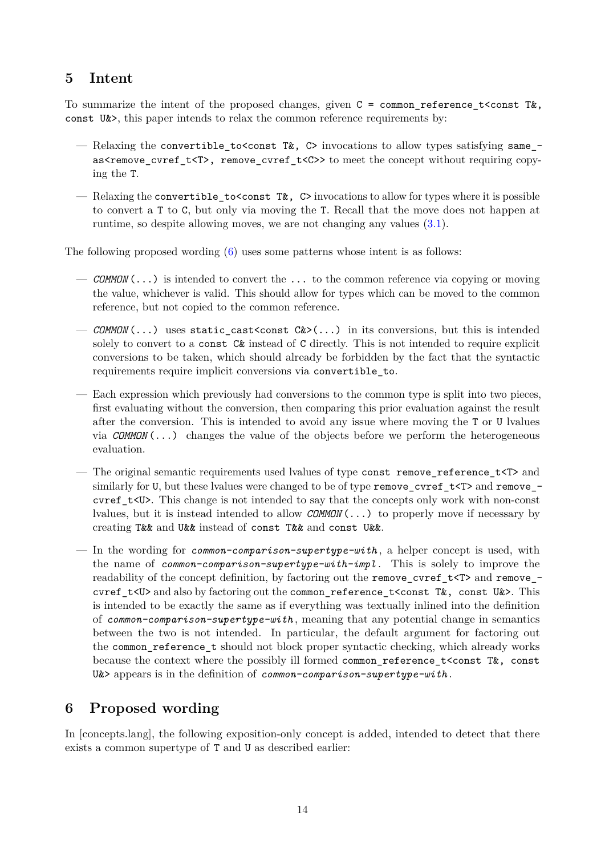# <span id="page-13-0"></span>**5 Intent**

To summarize the intent of the proposed changes, given  $C = \text{common\_reference\_t}$ const U&>, this paper intends to relax the common reference requirements by:

- Relaxing the convertible to const T&, C> invocations to allow types satisfying same\_ as<remove\_cvref\_t<T>, remove\_cvref\_t<C>> to meet the concept without requiring copying the T.
- Relaxing the convertible to sconst  $T\&S$ , C> invocations to allow for types where it is possible to convert a T to C, but only via moving the T. Recall that the move does not happen at runtime, so despite allowing moves, we are not changing any values [\(3.1\)](#page-5-2).

The following proposed wording  $(6)$  uses some patterns whose intent is as follows:

- *COMMON* (...) is intended to convert the ... to the common reference via copying or moving the value, whichever is valid. This should allow for types which can be moved to the common reference, but not copied to the common reference.
- *COMMON* (...) uses static cast<const  $C&>(\ldots)$  in its conversions, but this is intended solely to convert to a const  $C\&$  instead of C directly. This is not intended to require explicit conversions to be taken, which should already be forbidden by the fact that the syntactic requirements require implicit conversions via convertible\_to.
- Each expression which previously had conversions to the common type is split into two pieces, first evaluating without the conversion, then comparing this prior evaluation against the result after the conversion. This is intended to avoid any issue where moving the T or U lvalues via *COMMON* (...) changes the value of the objects before we perform the heterogeneous evaluation.
- The original semantic requirements used lvalues of type const remove\_reference\_t<T> and similarly for U, but these lvalues were changed to be of type remove cvref  $t < T$  and remove cvref t<U>. This change is not intended to say that the concepts only work with non-const lvalues, but it is instead intended to allow *COMMON* (...) to properly move if necessary by creating T&& and U&& instead of const T&& and const U&&.
- In the wording for *common-comparison-supertype-with* , a helper concept is used, with the name of *common-comparison-supertype-with-impl* . This is solely to improve the readability of the concept definition, by factoring out the remove\_cvref\_t $ltT$  and remove\_cvref\_t<U> and also by factoring out the common\_reference\_t<const T&, const U&>. This is intended to be exactly the same as if everything was textually inlined into the definition of *common-comparison-supertype-with* , meaning that any potential change in semantics between the two is not intended. In particular, the default argument for factoring out the common\_reference\_t should not block proper syntactic checking, which already works because the context where the possibly ill formed common\_reference\_t<const T&, const U&> appears is in the definition of *common-comparison-supertype-with* .

# <span id="page-13-1"></span>**6 Proposed wording**

In [concepts.lang], the following exposition-only concept is added, intended to detect that there exists a common supertype of T and U as described earlier: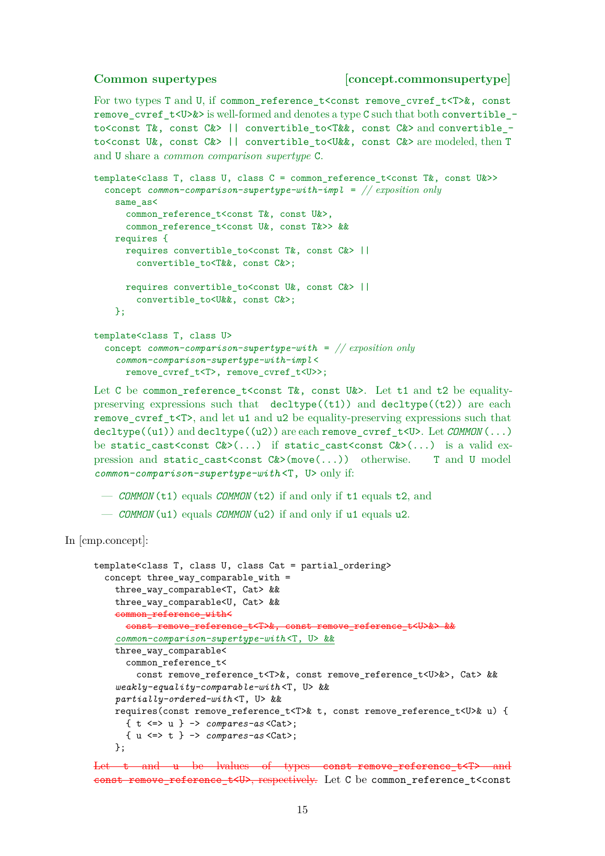#### **Common supertypes [concept.commonsupertype]**

For two types T and U, if common\_reference\_t<const remove\_cvref\_t<T>&, const remove\_cvref\_t<U>&> is well-formed and denotes a type C such that both convertible\_ to<const T&, const C&> || convertible\_to<T&&, const C&> and convertible\_to<const U&, const C&> || convertible to<U&&, const C&> are modeled, then T and U share a *common comparison supertype* C.

```
template<class T, class U, class C = common reference t<const T&, const U&>>
  concept common-comparison-supertype-with-impl = // exposition only
    same_as<
      common reference t<const T&, const U&>,
      common_reference_t<const U&, const T&>> &&
    requires {
      requires convertible_to<const T&, const C&> ||
        convertible to<T&&, const C&>;
      requires convertible_to<const U&, const C&> ||
        convertible to<U&&, const C&>;
    };
template<class T, class U>
  concept common-comparison-supertype-with = // exposition only
    common-comparison-supertype-with-impl <
      remove_cvref_t<T>, remove_cvref_t<U>>;
```
Let C be common reference t<const T&, const U&>. Let t1 and t2 be equalitypreserving expressions such that  $\text{decltype}((t1))$  and  $\text{decltype}((t2))$  are each remove cvref  $t$ <T>, and let u1 and u2 be equality-preserving expressions such that decltype((u1)) and decltype((u2)) are each remove\_cvref\_t<U>. Let  $\mathcal{COMMON} (...)$ be static\_cast<const  $C>$ (...) if static\_cast<const  $C>$ (...) is a valid expression and static cast<const  $C>(\text{move}(\ldots))$  otherwise. T and U model *common-comparison-supertype-with* <T, U> only if:

- *COMMON* (t1) equals *COMMON* (t2) if and only if t1 equals t2, and
- *COMMON* (u1) equals *COMMON* (u2) if and only if u1 equals u2.

In [cmp.concept]:

```
template<class T, class U, class Cat = partial_ordering>
  concept three_way_comparable_with =
    three_way_comparable<T, Cat> &&
    three_way_comparable<U, Cat> &&
    common_reference_with<
     const remove_reference_t<T>&, const remove_reference_t<U>&> &&
    common-comparison-supertype-with <T, U> &&
    three_way_comparable<
      common reference t<
        const remove reference t<T>&, const remove reference t<U>&>, Cat> &&
    weakly-equality-comparable-with <T, U> &&
    partially-ordered-with <T, U> &&
   requires(const remove_reference_t<T>& t, const remove_reference_t<U>& u) {
      { t <=> u } -> compares-as <Cat>;
      { u <=> t } -> compares-as <Cat>;
   };
```
Let t and u be lvalues of types const remove reference  $t$ <T> and const remove reference  $t<sub>W</sub>$ , respectively. Let C be common reference t<const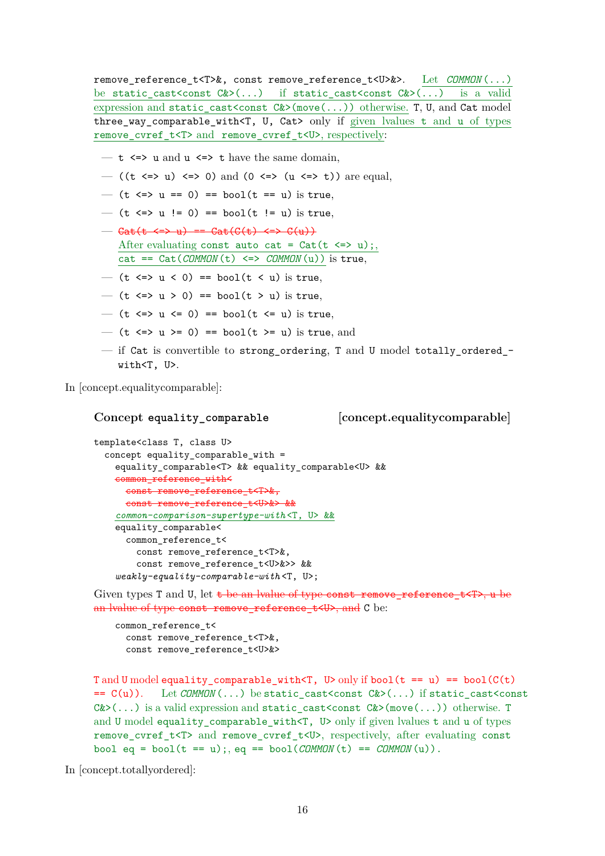remove\_reference\_t<T>&, const remove\_reference\_t<U>&>. Let *COMMON* (...) be static cast<const  $C&>(...)$  if static cast<const  $C&>(...)$  is a valid expression and static cast<const  $C&>(move(...))$  otherwise. T, U, and Cat model three way comparable with<T, U, Cat> only if given lvalues t and u of types remove cvref  $t$ <T> and remove cvref  $t$ <U>, respectively:

- $t \leq$   $\infty$  u and  $u \leq$   $\infty$  t have the same domain,
- ((t  $\le$  u)  $\le$  0) and (0  $\le$   $\le$  (u  $\le$  t)) are equal,
- $(t \le y u == 0) == bool(t == u)$  is true,
- (t <=> u != 0) == bool(t != u) is true,
- $-\text{Cat}(t \leq > u) == \text{Cat}(C(t) \leq > C(u))$ After evaluating const auto cat =  $Cat(t \le y)$ ; cat == Cat(*COMMON* (t) <=> *COMMON* (u)) is true,
- (t  $\leq$   $\geq$   $\leq$   $\leq$  0) == bool(t  $\leq$  u) is true,
- $-$  (t  $\le$   $\ge$   $u$   $>$  0) == bool(t  $>$  u) is true,
- $-$  (t  $\leq$   $\geq$   $u$   $\leq$  0) == bool(t  $\leq$  u) is true,
- $-$  (t <=> u >= 0) == bool(t >= u) is true, and
- if Cat is convertible to strong ordering, T and U model totally ordered  $$ with<T, U>.

In [concept.equalitycomparable]:

**Concept equality\_comparable [concept.equalitycomparable]**

```
template<class T, class U>
  concept equality comparable with =equality_comparable<T> && equality_comparable<U> &&
    common reference with<
     const remove reference t<T>&,
      const remove_reference_t<U>&> &&
    common-comparison-supertype-with <T, U> &&
    equality_comparable<
     common_reference_t<
        const remove_reference_t<T>&,
        const remove reference t<U>&>> &&
    weakly-equality-comparable-with <T, U>;
```
Given types T and U, let  $t$  be an lvalue of type const remove\_reference\_ $t$ <T>, u be an lyalue of type const remove reference  $t$ <U>, and C be:

```
common_reference_t<
  const remove_reference_t<T>&,
  const remove_reference_t<U>&>
```
T and U model equality\_comparable\_with<T, U> only if bool( $t == u$ ) == bool( $C(t)$ ==  $C(u)$ ). Let *COMMON* (...) be static\_cast<const  $C&>(...)$  if static\_cast<const  $C&>(\ldots)$  is a valid expression and static cast<const  $C&>(\text{move}(...))$  otherwise. T and U model equality comparable with $\leq$ T, U> only if given lvalues t and u of types remove cvref t<T> and remove cvref\_t<U>, respectively, after evaluating const bool eq = bool( $t = u$ );, eq == bool( $\textit{COMMON}(t)$  ==  $\textit{COMMON}(u)$ ).

In [concept.totallyordered]: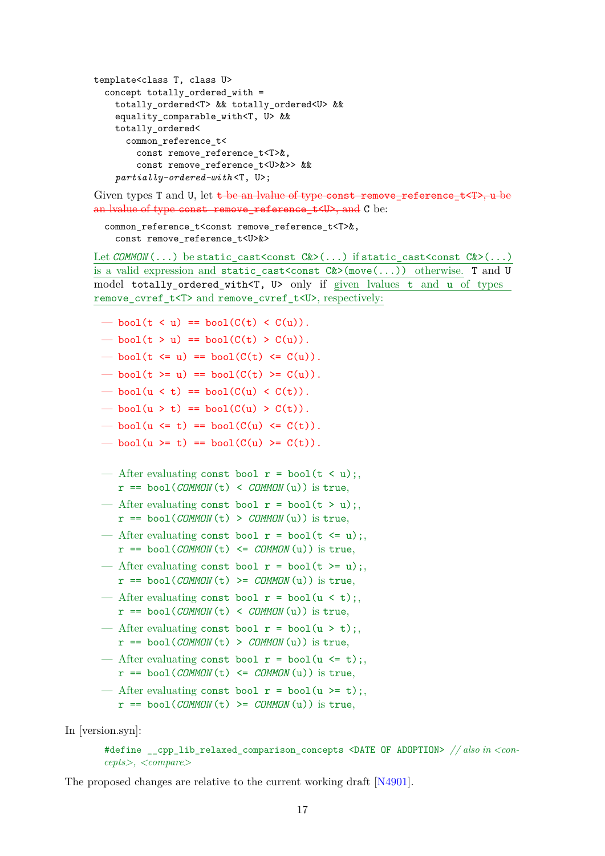```
template<class T, class U>
  concept totally_ordered_with =
    totally_ordered<T> && totally_ordered<U> &&
    equality_comparable_with<T, U> &&
    totally_ordered<
      common_reference_t<
        const remove reference t<T>&,
        const remove reference t<U>&>> &&
    partially-ordered-with <T, U>;
```
Given types T and U, let  $t$  be an lyalue of type const remove reference  $t$ <T>, u be an lyalue of type const remove reference t<U>, and C be:

common\_reference\_t<const remove\_reference\_t<T>&, const remove reference t<U>&>

Let *COMMON* (...) be static\_cast<const  $C&>(\ldots)$  if static\_cast<const  $C&>(\ldots)$ is a valid expression and static\_cast<const  $C&>(move(...))$  otherwise. T and U model totally\_ordered\_with<T, U> only if given lvalues t and u of types remove\_cvref\_t<T> and remove\_cvref\_t<U>, respectively:

- bool $(t \le u)$  == bool $(C(t) \le C(u))$ .
- bool(t > u) == bool( $C(t) > C(u)$ ).
- bool(t  $\leq$  u) == bool( $C(t)$   $\leq$   $C(u)$ ).
- bool(t >= u) == bool( $C(t)$  >=  $C(u)$ ).
- bool( $u \leq t$ ) == bool( $C(u) \leq C(t)$ ).
- bool(u > t) == bool( $C(u) > C(t)$ ).
- bool(u  $\leq$  t) == bool(C(u)  $\leq$  C(t)).
- bool(u >= t) == bool( $C(u)$  >=  $C(t)$ ).
- After evaluating const bool  $r = bool(t \le u)$ ;  $r = \text{bool}( \text{COMMON}(t) < \text{COMMON}(u))$  is true,
- After evaluating const bool  $r = bool(t > u)$ ;  $r = \text{bool}( \text{COMMON}(t) > \text{COMMON}(u))$  is true,
- After evaluating const bool  $r = \text{bool}(t \le u)$ ;  $r = \text{bool}( \text{COMMON}(t) \leq \text{COMMON}(u))$  is true,
- After evaluating const bool  $r = \text{bool}(t \ge u)$ ;  $r = \text{bool}( \text{COMMON}(t) \geq \text{COMMON}(u))$  is true,
- After evaluating const bool  $r = bool(u < t)$ ;  $r =$  bool(*COMMON*(t) < *COMMON*(u)) is true,
- After evaluating const bool  $r = bool(u > t)$ ;  $r =$  bool(*COMMON*(t) > *COMMON*(u)) is true,
- After evaluating const bool  $r = \text{bool}(u \leq t)$ ;  $r =$  bool(*COMMON*(t) <= *COMMON*(u)) is true,
- After evaluating const bool  $r = bool(u \ge t)$ ;  $r =$  bool(*COMMON*(t) >= *COMMON*(u)) is true,

In [version.syn]:

```
#define __cpp_lib_relaxed_comparison_concepts <DATE OF ADOPTION> // also in <con-
cepts>, <compare>
```
The proposed changes are relative to the current working draft [\[N4901\]](#page-17-2).